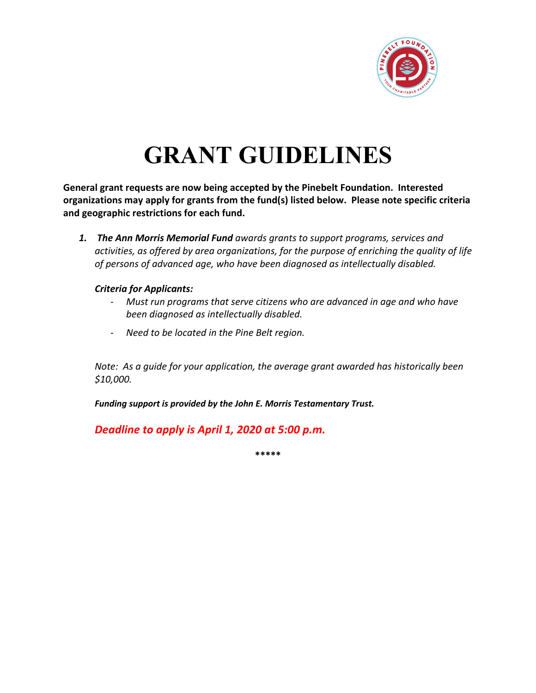

# **GRANT GUIDELINES**

**General grant requests are now being accepted by the Pinebelt Foundation. Interested organizations may apply for grants from the fund(s) listed below. Please note specific criteria and geographic restrictions for each fund.**

*1. The Ann Morris Memorial Fund awards grants to support programs, services and activities, as offered by area organizations, for the purpose of enriching the quality of life of persons of advanced age, who have been diagnosed as intellectually disabled.*

## *Criteria for Applicants:*

- *Must run programs that serve citizens who are advanced in age and who have been diagnosed as intellectually disabled.*
- *Need to be located in the Pine Belt region.*

*Note: As a guide for your application, the average grant awarded has historically been \$10,000.* 

*Funding support is provided by the John E. Morris Testamentary Trust.* 

*Deadline to apply is April 1, 2020 at 5:00 p.m.* 

**\*\*\*\*\***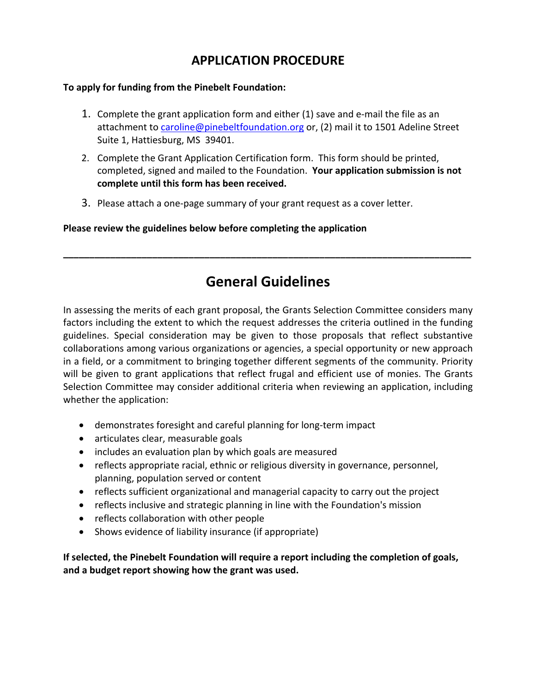# **APPLICATION PROCEDURE**

## **To apply for funding from the Pinebelt Foundation:**

- 1. Complete the grant application form and either (1) save and e-mail the file as an attachment to caroline@pinebeltfoundation.org or, (2) mail it to 1501 Adeline Street Suite 1, Hattiesburg, MS 39401.
- 2. Complete the Grant Application Certification form. This form should be printed, completed, signed and mailed to the Foundation. **Your application submission is not complete until this form has been received.**
- 3. Please attach a one-page summary of your grant request as a cover letter.

**Please review the guidelines below before completing the application**

# **General Guidelines**

**\_\_\_\_\_\_\_\_\_\_\_\_\_\_\_\_\_\_\_\_\_\_\_\_\_\_\_\_\_\_\_\_\_\_\_\_\_\_\_\_\_\_\_\_\_\_\_\_\_\_\_\_\_\_\_\_\_\_\_\_\_\_\_\_\_\_\_\_\_\_\_\_\_\_\_\_\_\_**

In assessing the merits of each grant proposal, the Grants Selection Committee considers many factors including the extent to which the request addresses the criteria outlined in the funding guidelines. Special consideration may be given to those proposals that reflect substantive collaborations among various organizations or agencies, a special opportunity or new approach in a field, or a commitment to bringing together different segments of the community. Priority will be given to grant applications that reflect frugal and efficient use of monies. The Grants Selection Committee may consider additional criteria when reviewing an application, including whether the application:

- demonstrates foresight and careful planning for long-term impact
- articulates clear, measurable goals
- includes an evaluation plan by which goals are measured
- reflects appropriate racial, ethnic or religious diversity in governance, personnel, planning, population served or content
- reflects sufficient organizational and managerial capacity to carry out the project
- reflects inclusive and strategic planning in line with the Foundation's mission
- reflects collaboration with other people
- Shows evidence of liability insurance (if appropriate)

**If selected, the Pinebelt Foundation will require a report including the completion of goals, and a budget report showing how the grant was used.**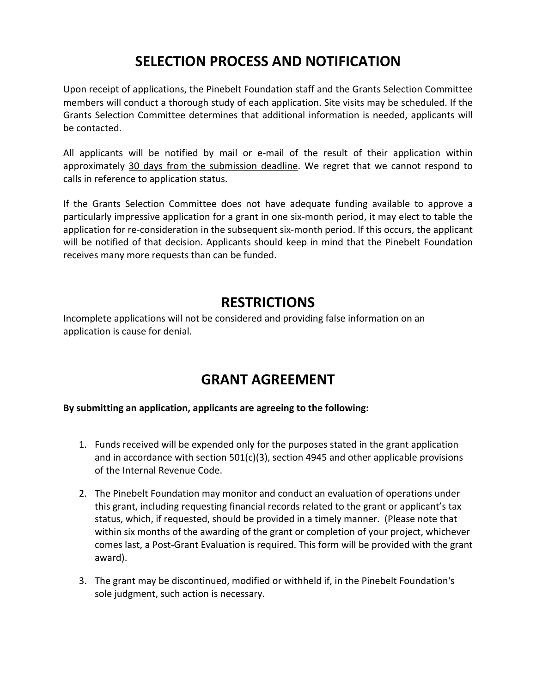# **SELECTION PROCESS AND NOTIFICATION**

Upon receipt of applications, the Pinebelt Foundation staff and the Grants Selection Committee members will conduct a thorough study of each application. Site visits may be scheduled. If the Grants Selection Committee determines that additional information is needed, applicants will be contacted.

All applicants will be notified by mail or e-mail of the result of their application within approximately 30 days from the submission deadline. We regret that we cannot respond to calls in reference to application status.

If the Grants Selection Committee does not have adequate funding available to approve a particularly impressive application for a grant in one six-month period, it may elect to table the application for re-consideration in the subsequent six-month period. If this occurs, the applicant will be notified of that decision. Applicants should keep in mind that the Pinebelt Foundation receives many more requests than can be funded.

# **RESTRICTIONS**

Incomplete applications will not be considered and providing false information on an application is cause for denial.

# **GRANT AGREEMENT**

## **By submitting an application, applicants are agreeing to the following:**

- 1. Funds received will be expended only for the purposes stated in the grant application and in accordance with section 501(c)(3), section 4945 and other applicable provisions of the Internal Revenue Code.
- 2. The Pinebelt Foundation may monitor and conduct an evaluation of operations under this grant, including requesting financial records related to the grant or applicant's tax status, which, if requested, should be provided in a timely manner. (Please note that within six months of the awarding of the grant or completion of your project, whichever comes last, a Post-Grant Evaluation is required. This form will be provided with the grant award).
- 3. The grant may be discontinued, modified or withheld if, in the Pinebelt Foundation's sole judgment, such action is necessary.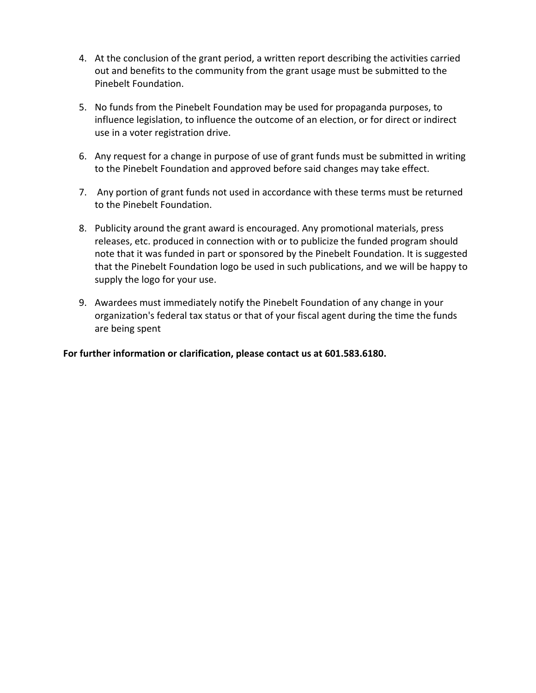- 4. At the conclusion of the grant period, a written report describing the activities carried out and benefits to the community from the grant usage must be submitted to the Pinebelt Foundation.
- 5. No funds from the Pinebelt Foundation may be used for propaganda purposes, to influence legislation, to influence the outcome of an election, or for direct or indirect use in a voter registration drive.
- 6. Any request for a change in purpose of use of grant funds must be submitted in writing to the Pinebelt Foundation and approved before said changes may take effect.
- 7. Any portion of grant funds not used in accordance with these terms must be returned to the Pinebelt Foundation.
- 8. Publicity around the grant award is encouraged. Any promotional materials, press releases, etc. produced in connection with or to publicize the funded program should note that it was funded in part or sponsored by the Pinebelt Foundation. It is suggested that the Pinebelt Foundation logo be used in such publications, and we will be happy to supply the logo for your use.
- 9. Awardees must immediately notify the Pinebelt Foundation of any change in your organization's federal tax status or that of your fiscal agent during the time the funds are being spent

**For further information or clarification, please contact us at 601.583.6180.**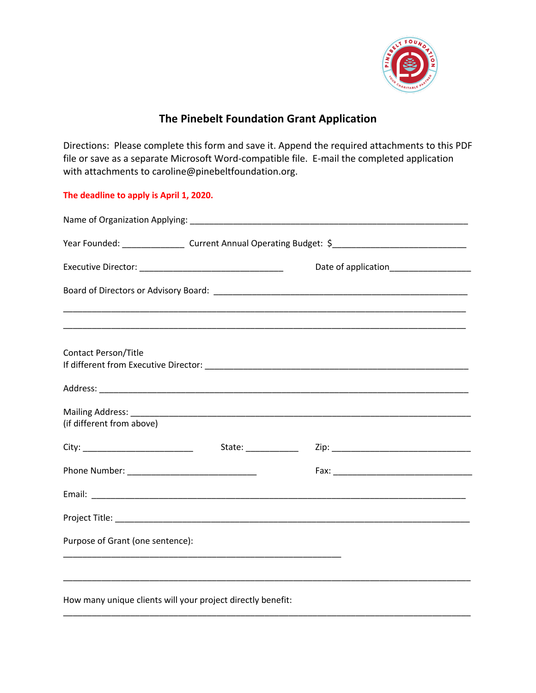

## **The Pinebelt Foundation Grant Application**

Directions: Please complete this form and save it. Append the required attachments to this PDF file or save as a separate Microsoft Word-compatible file. E-mail the completed application with attachments to caroline@pinebeltfoundation.org.

**The deadline to apply is April 1, 2020.**

|                                                             |                      | Year Founded: ____________________ Current Annual Operating Budget: \$______________________________ |  |  |  |
|-------------------------------------------------------------|----------------------|------------------------------------------------------------------------------------------------------|--|--|--|
|                                                             |                      |                                                                                                      |  |  |  |
|                                                             |                      |                                                                                                      |  |  |  |
| <b>Contact Person/Title</b>                                 |                      | ,我们也不能在这里的人,我们也不能在这里的人,我们也不能在这里的人,我们也不能在这里的人,我们也不能在这里的人,我们也不能在这里的人,我们也不能在这里的人,我们也                    |  |  |  |
|                                                             |                      |                                                                                                      |  |  |  |
| (if different from above)                                   |                      |                                                                                                      |  |  |  |
|                                                             | State: _____________ |                                                                                                      |  |  |  |
|                                                             |                      |                                                                                                      |  |  |  |
|                                                             |                      |                                                                                                      |  |  |  |
|                                                             |                      |                                                                                                      |  |  |  |
| Purpose of Grant (one sentence):                            |                      |                                                                                                      |  |  |  |
| How many unique clients will your project directly benefit: |                      |                                                                                                      |  |  |  |

\_\_\_\_\_\_\_\_\_\_\_\_\_\_\_\_\_\_\_\_\_\_\_\_\_\_\_\_\_\_\_\_\_\_\_\_\_\_\_\_\_\_\_\_\_\_\_\_\_\_\_\_\_\_\_\_\_\_\_\_\_\_\_\_\_\_\_\_\_\_\_\_\_\_\_\_\_\_\_\_\_\_\_\_\_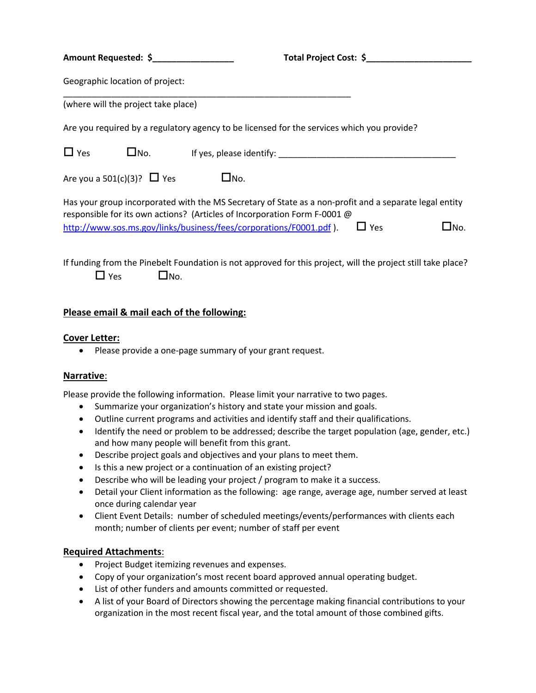| Amount Requested: \$                                                                                                                                                                |               | Total Project Cost: \$ |      |
|-------------------------------------------------------------------------------------------------------------------------------------------------------------------------------------|---------------|------------------------|------|
| Geographic location of project:                                                                                                                                                     |               |                        |      |
| (where will the project take place)                                                                                                                                                 |               |                        |      |
| Are you required by a regulatory agency to be licensed for the services which you provide?                                                                                          |               |                        |      |
| $\Box$ Yes<br>$\square$ No.                                                                                                                                                         |               |                        |      |
| Are you a $501(c)(3)$ ? $\Box$ Yes                                                                                                                                                  | $\square$ No. |                        |      |
| Has your group incorporated with the MS Secretary of State as a non-profit and a separate legal entity<br>responsible for its own actions? (Articles of Incorporation Form F-0001 @ |               |                        |      |
| http://www.sos.ms.gov/links/business/fees/corporations/F0001.pdf).                                                                                                                  |               | $\square$ Yes          | _No. |

If funding from the Pinebelt Foundation is not approved for this project, will the project still take place?  $\Box$  Yes  $\Box$  No.

## **Please email & mail each of the following:**

#### **Cover Letter:**

• Please provide a one-page summary of your grant request.

#### **Narrative**:

Please provide the following information. Please limit your narrative to two pages.

- Summarize your organization's history and state your mission and goals.
- Outline current programs and activities and identify staff and their qualifications.
- Identify the need or problem to be addressed; describe the target population (age, gender, etc.) and how many people will benefit from this grant.
- Describe project goals and objectives and your plans to meet them.
- Is this a new project or a continuation of an existing project?
- Describe who will be leading your project / program to make it a success.
- Detail your Client information as the following: age range, average age, number served at least once during calendar year
- Client Event Details: number of scheduled meetings/events/performances with clients each month; number of clients per event; number of staff per event

## **Required Attachments**:

- Project Budget itemizing revenues and expenses.
- Copy of your organization's most recent board approved annual operating budget.
- List of other funders and amounts committed or requested.
- A list of your Board of Directors showing the percentage making financial contributions to your organization in the most recent fiscal year, and the total amount of those combined gifts.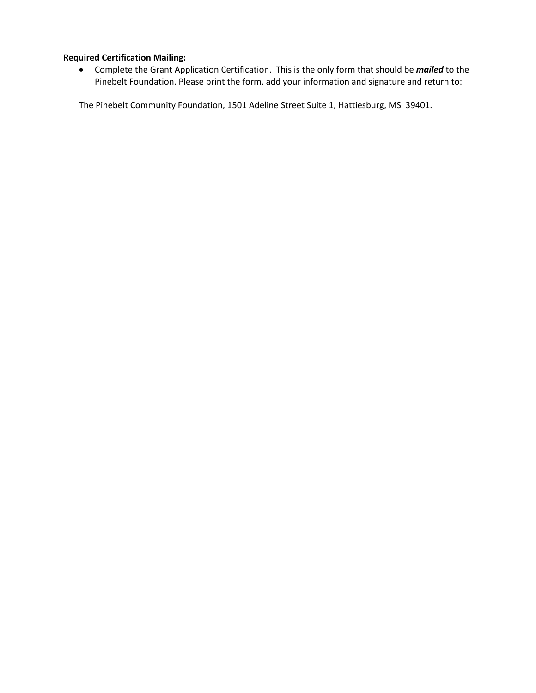## **Required Certification Mailing:**

• Complete the Grant Application Certification. This is the only form that should be *mailed* to the Pinebelt Foundation. Please print the form, add your information and signature and return to:

The Pinebelt Community Foundation, 1501 Adeline Street Suite 1, Hattiesburg, MS 39401.